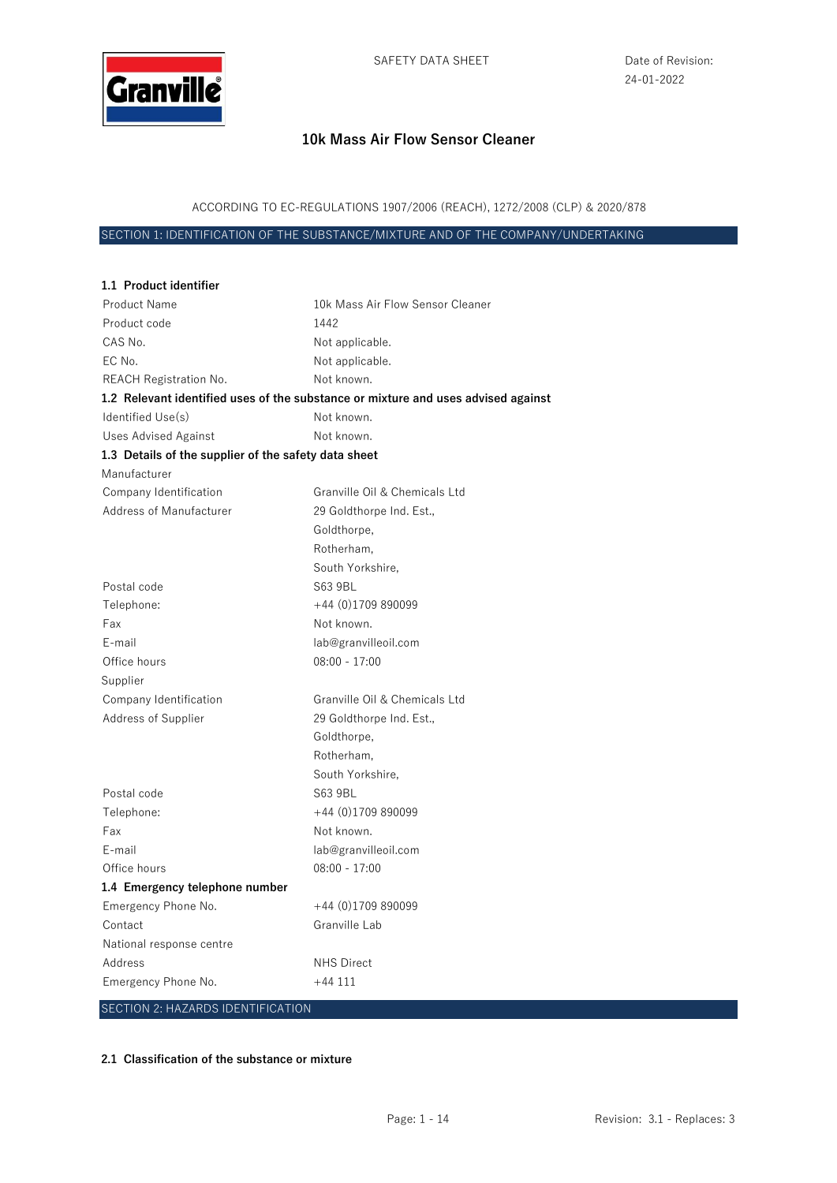

ACCORDING TO EC-REGULATIONS 1907/2006 (REACH), 1272/2008 (CLP) & 2020/878

SECTION 1: IDENTIFICATION OF THE SUBSTANCE/MIXTURE AND OF THE COMPANY/UNDERTAKING

| 1.1 Product identifier                               |                                                                                   |
|------------------------------------------------------|-----------------------------------------------------------------------------------|
| <b>Product Name</b>                                  | 10k Mass Air Flow Sensor Cleaner                                                  |
| Product code                                         | 1442                                                                              |
| CAS No.                                              | Not applicable.                                                                   |
| EC No.                                               | Not applicable.                                                                   |
| <b>REACH Registration No.</b>                        | Not known.                                                                        |
|                                                      | 1.2 Relevant identified uses of the substance or mixture and uses advised against |
| Identified Use(s)                                    | Not known.                                                                        |
| <b>Uses Advised Against</b>                          | Not known.                                                                        |
| 1.3 Details of the supplier of the safety data sheet |                                                                                   |
| Manufacturer                                         |                                                                                   |
| Company Identification                               | Granville Oil & Chemicals Ltd                                                     |
| Address of Manufacturer                              | 29 Goldthorpe Ind. Est.,                                                          |
|                                                      | Goldthorpe,                                                                       |
|                                                      | Rotherham,                                                                        |
|                                                      | South Yorkshire,                                                                  |
| Postal code                                          | S63 9BL                                                                           |
| Telephone:                                           | +44 (0)1709 890099                                                                |
| Fax                                                  | Not known.                                                                        |
| E-mail                                               | lab@granvilleoil.com                                                              |
| Office hours                                         | $08:00 - 17:00$                                                                   |
| Supplier                                             |                                                                                   |
| Company Identification                               | Granville Oil & Chemicals Ltd                                                     |
| Address of Supplier                                  | 29 Goldthorpe Ind. Est.,                                                          |
|                                                      | Goldthorpe,                                                                       |
|                                                      | Rotherham,                                                                        |
|                                                      | South Yorkshire,                                                                  |
| Postal code                                          | S63 9BL                                                                           |
| Telephone:                                           | $+44$ (0)1709 890099                                                              |
| Fax                                                  | Not known.                                                                        |
| E-mail                                               | lab@granvilleoil.com                                                              |
| Office hours                                         | $08:00 - 17:00$                                                                   |
| 1.4 Emergency telephone number                       |                                                                                   |
| Emergency Phone No.                                  | +44 (0)1709 890099                                                                |
| Contact                                              | Granville Lab                                                                     |
| National response centre                             |                                                                                   |
| Address                                              | <b>NHS Direct</b>                                                                 |
| Emergency Phone No.                                  | $+44111$                                                                          |
| <b>SECTION 2: HAZARDS IDENTIFICATION</b>             |                                                                                   |

**2.1 Classification of the substance or mixture**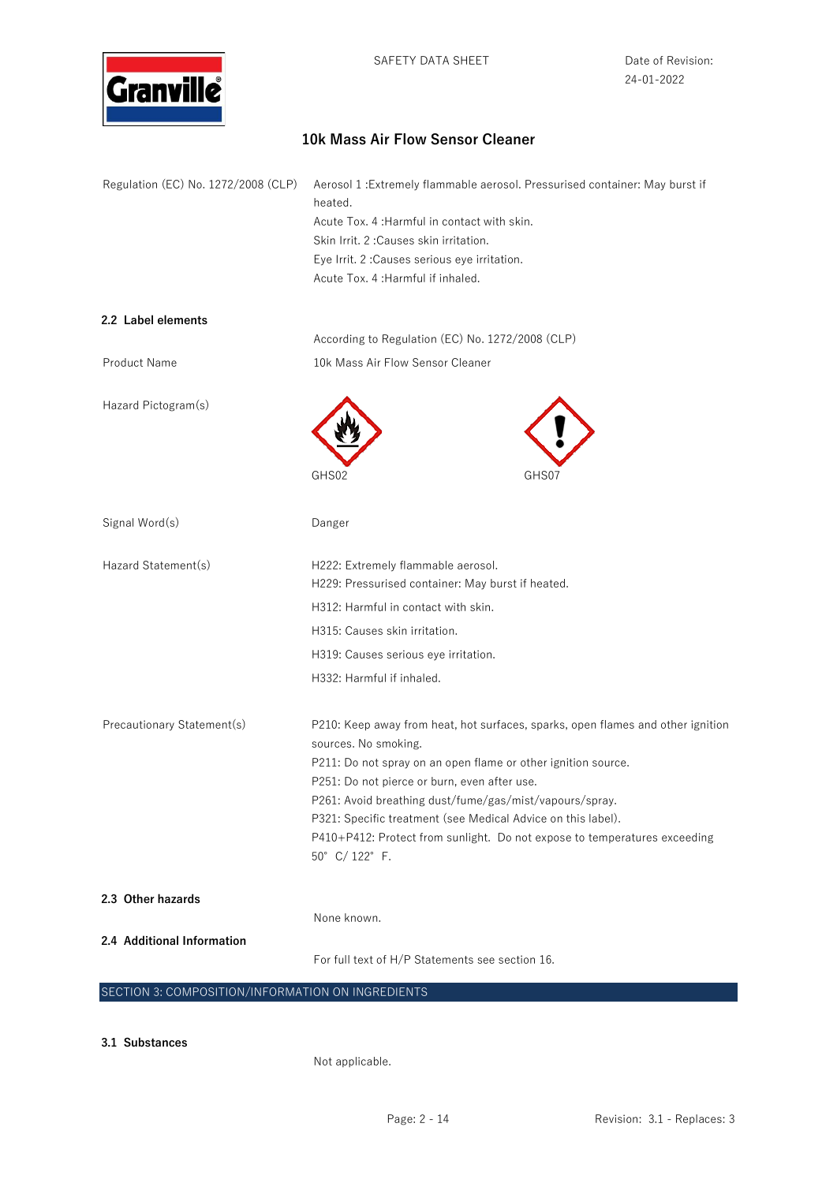

| Regulation (EC) No. 1272/2008 (CLP) | Aerosol 1 : Extremely flammable aerosol. Pressurised container: May burst if<br>heated.                 |
|-------------------------------------|---------------------------------------------------------------------------------------------------------|
|                                     | Acute Tox. 4: Harmful in contact with skin.                                                             |
|                                     | Skin Irrit. 2: Causes skin irritation.                                                                  |
|                                     | Eye Irrit. 2 : Causes serious eye irritation.                                                           |
|                                     | Acute Tox. 4: Harmful if inhaled.                                                                       |
| 2.2 Label elements                  |                                                                                                         |
|                                     | According to Regulation (EC) No. 1272/2008 (CLP)                                                        |
| Product Name                        | 10k Mass Air Flow Sensor Cleaner                                                                        |
| Hazard Pictogram(s)                 |                                                                                                         |
|                                     |                                                                                                         |
|                                     | GHS02<br>GHS07                                                                                          |
| Signal Word(s)                      | Danger                                                                                                  |
| Hazard Statement(s)                 | H222: Extremely flammable aerosol.                                                                      |
|                                     | H229: Pressurised container: May burst if heated.                                                       |
|                                     | H312: Harmful in contact with skin.                                                                     |
|                                     | H315: Causes skin irritation.                                                                           |
|                                     | H319: Causes serious eye irritation.                                                                    |
|                                     | H332: Harmful if inhaled.                                                                               |
| Precautionary Statement(s)          | P210: Keep away from heat, hot surfaces, sparks, open flames and other ignition                         |
|                                     | sources. No smoking.                                                                                    |
|                                     | P211: Do not spray on an open flame or other ignition source.                                           |
|                                     | P251: Do not pierce or burn, even after use.<br>P261: Avoid breathing dust/fume/gas/mist/vapours/spray. |
|                                     | P321: Specific treatment (see Medical Advice on this label).                                            |
|                                     | P410+P412: Protect from sunlight. Do not expose to temperatures exceeding                               |
|                                     | 50° C/122° F.                                                                                           |
| 2.3 Other hazards                   |                                                                                                         |
|                                     | None known.                                                                                             |
| 2.4 Additional Information          | For full text of H/P Statements see section 16.                                                         |
|                                     |                                                                                                         |

### SECTION 3: COMPOSITION/INFORMATION ON INGREDIENTS

**3.1 Substances** 

Not applicable.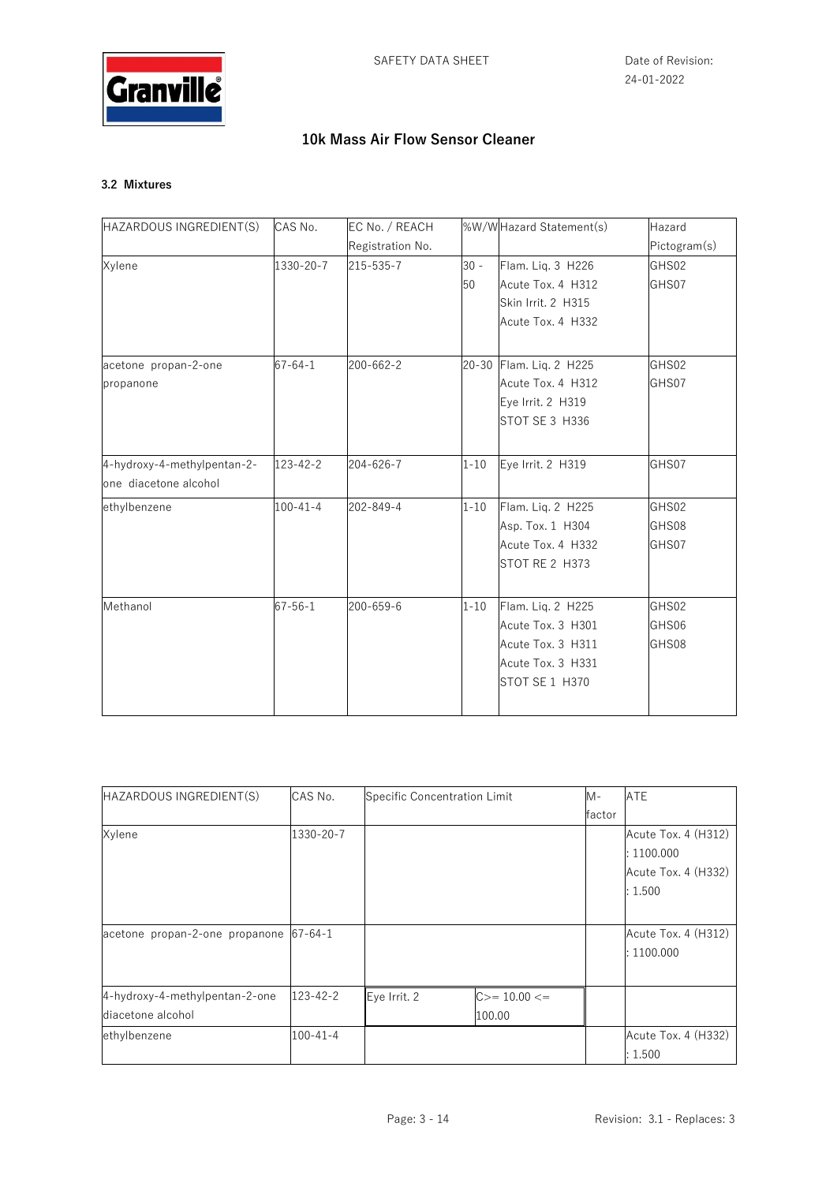

## **3.2 Mixtures**

| HAZARDOUS INGREDIENT(S)     | CAS No.        | EC No. / REACH   |          | %W/WHazard Statement(s) | Hazard       |
|-----------------------------|----------------|------------------|----------|-------------------------|--------------|
|                             |                | Registration No. |          |                         | Pictogram(s) |
| Xylene                      | 1330-20-7      | 215-535-7        | $30 -$   | Flam. Lig. 3 H226       | GHS02        |
|                             |                |                  | 50       | Acute Tox. 4 H312       | GHS07        |
|                             |                |                  |          | Skin Irrit. 2 H315      |              |
|                             |                |                  |          | Acute Tox. 4 H332       |              |
| acetone propan-2-one        | $67 - 64 - 1$  | 200-662-2        |          | 20-30 Flam. Liq. 2 H225 | GHS02        |
| propanone                   |                |                  |          | Acute Tox. 4 H312       | GHS07        |
|                             |                |                  |          | Eye Irrit. 2 H319       |              |
|                             |                |                  |          | STOT SE 3 H336          |              |
| 4-hydroxy-4-methylpentan-2- | $123 - 42 - 2$ | 204-626-7        | $1 - 10$ | Eye Irrit. 2 H319       | GHS07        |
| one diacetone alcohol       |                |                  |          |                         |              |
| ethylbenzene                | $100 - 41 - 4$ | 202-849-4        | $1 - 10$ | Flam. Liq. 2 H225       | GHS02        |
|                             |                |                  |          | Asp. Tox. 1 H304        | GHS08        |
|                             |                |                  |          | Acute Tox. 4 H332       | GHS07        |
|                             |                |                  |          | STOT RE 2 H373          |              |
| Methanol                    | $67 - 56 - 1$  | 200-659-6        | $1 - 10$ | Flam. Liq. 2 H225       | GHS02        |
|                             |                |                  |          | Acute Tox. 3 H301       | GHS06        |
|                             |                |                  |          | Acute Tox. 3 H311       | GHS08        |
|                             |                |                  |          | Acute Tox. 3 H331       |              |
|                             |                |                  |          | STOT SE 1 H370          |              |
|                             |                |                  |          |                         |              |

| HAZARDOUS INGREDIENT(S)        | CAS No.        | Specific Concentration Limit |              | M-     | ATE                 |
|--------------------------------|----------------|------------------------------|--------------|--------|---------------------|
|                                |                |                              |              | factor |                     |
| Xylene                         | 1330-20-7      |                              |              |        | Acute Tox. 4 (H312) |
|                                |                |                              |              |        | : 1100.000          |
|                                |                |                              |              |        | Acute Tox. 4 (H332) |
|                                |                |                              |              |        | :1.500              |
|                                |                |                              |              |        |                     |
| acetone propan-2-one propanone | $67 - 64 - 1$  |                              |              |        | Acute Tox. 4 (H312) |
|                                |                |                              |              |        | : 1100.000          |
|                                |                |                              |              |        |                     |
| 4-hydroxy-4-methylpentan-2-one | 123-42-2       | Eye Irrit. 2                 | $C>=10.00<=$ |        |                     |
| diacetone alcohol              |                |                              | 100.00       |        |                     |
| ethylbenzene                   | $100 - 41 - 4$ |                              |              |        | Acute Tox. 4 (H332) |
|                                |                |                              |              |        | :1.500              |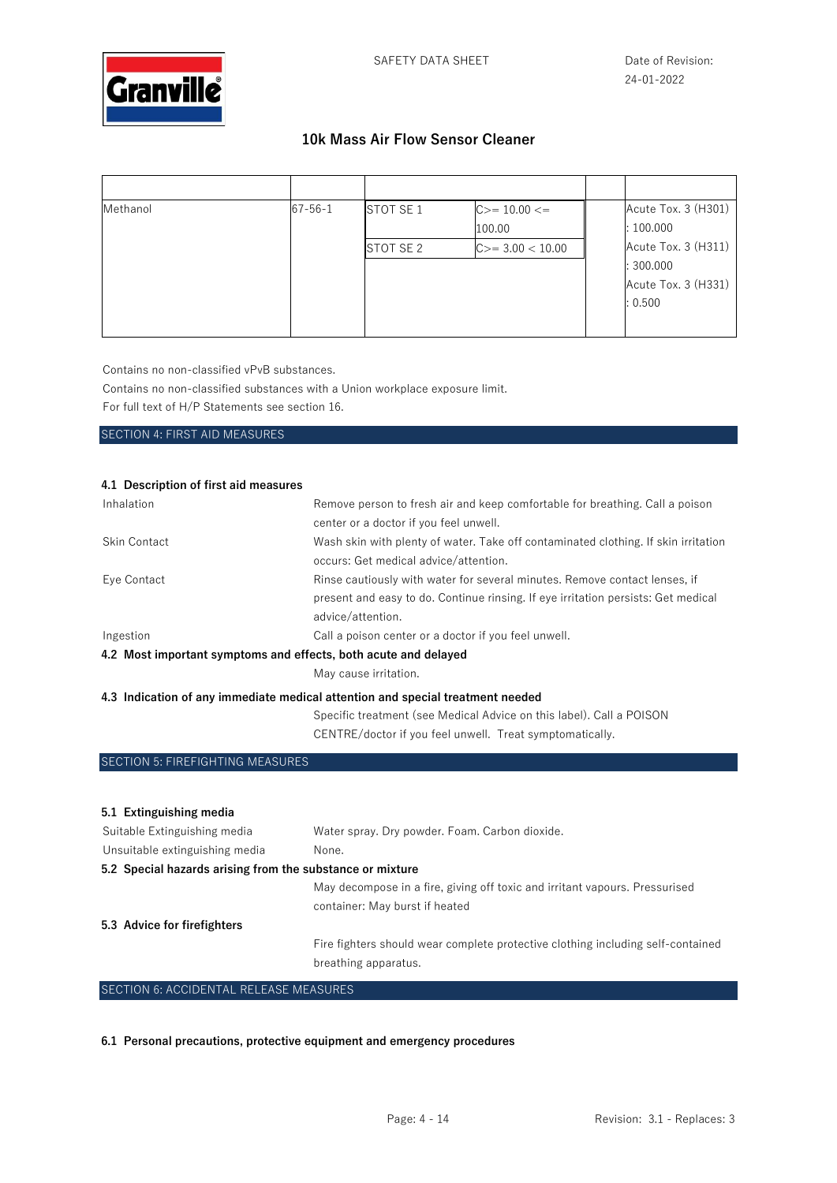

| Methanol | $67 - 56 - 1$ | STOT SE 1 | $C>=10.00<=$<br>100.00 | Acute Tox. 3 (H301)<br>:100.000                                    |
|----------|---------------|-----------|------------------------|--------------------------------------------------------------------|
|          |               | STOT SE 2 | $C>=3.00<10.00$        | Acute Tox. 3 (H311)<br>: 300.000<br>Acute Tox. 3 (H331)<br>: 0.500 |

Contains no non-classified vPvB substances.

Contains no non-classified substances with a Union workplace exposure limit.

For full text of H/P Statements see section 16.

SECTION 4: FIRST AID MEASURES

### **4.1 Description of first aid measures**

| Inhalation                                                      | Remove person to fresh air and keep comfortable for breathing. Call a poison       |
|-----------------------------------------------------------------|------------------------------------------------------------------------------------|
|                                                                 | center or a doctor if you feel unwell.                                             |
| <b>Skin Contact</b>                                             | Wash skin with plenty of water. Take off contaminated clothing. If skin irritation |
|                                                                 | occurs: Get medical advice/attention.                                              |
| Eye Contact                                                     | Rinse cautiously with water for several minutes. Remove contact lenses, if         |
|                                                                 | present and easy to do. Continue rinsing. If eye irritation persists: Get medical  |
|                                                                 | advice/attention.                                                                  |
| Ingestion                                                       | Call a poison center or a doctor if you feel unwell.                               |
| 4.2 Most important symptoms and effects, both acute and delayed |                                                                                    |
|                                                                 | May cause irritation.                                                              |
|                                                                 | 4.3 Indication of any immediate medical attention and special treatment needed     |

Specific treatment (see Medical Advice on this label). Call a POISON CENTRE/doctor if you feel unwell. Treat symptomatically.

SECTION 5: FIREFIGHTING MEASURES

| 5.1 Extinguishing media                                   |                                                                                 |
|-----------------------------------------------------------|---------------------------------------------------------------------------------|
| Suitable Extinguishing media                              | Water spray. Dry powder. Foam. Carbon dioxide.                                  |
| Unsuitable extinguishing media                            | None.                                                                           |
| 5.2 Special hazards arising from the substance or mixture |                                                                                 |
|                                                           | May decompose in a fire, giving off toxic and irritant vapours. Pressurised     |
|                                                           | container: May burst if heated                                                  |
| 5.3 Advice for firefighters                               |                                                                                 |
|                                                           | Fire fighters should wear complete protective clothing including self-contained |
|                                                           | breathing apparatus.                                                            |
|                                                           |                                                                                 |

### SECTION 6: ACCIDENTAL RELEASE MEASURES

**6.1 Personal precautions, protective equipment and emergency procedures**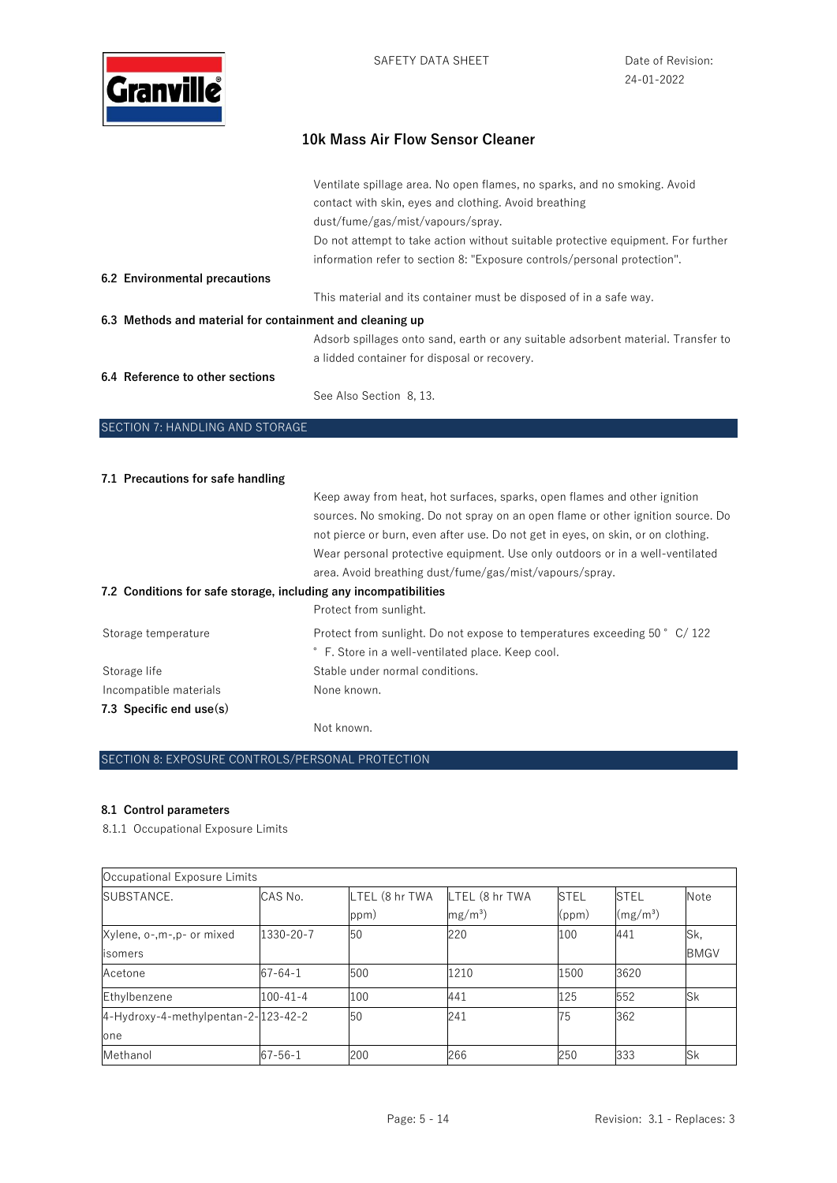

|                                                          | Ventilate spillage area. No open flames, no sparks, and no smoking. Avoid<br>contact with skin, eyes and clothing. Avoid breathing<br>dust/fume/gas/mist/vapours/spray. |
|----------------------------------------------------------|-------------------------------------------------------------------------------------------------------------------------------------------------------------------------|
|                                                          | Do not attempt to take action without suitable protective equipment. For further                                                                                        |
|                                                          | information refer to section 8: "Exposure controls/personal protection".                                                                                                |
| 6.2 Environmental precautions                            |                                                                                                                                                                         |
|                                                          | This material and its container must be disposed of in a safe way.                                                                                                      |
| 6.3 Methods and material for containment and cleaning up |                                                                                                                                                                         |
|                                                          | Adsorb spillages onto sand, earth or any suitable adsorbent material. Transfer to                                                                                       |
|                                                          | a lidded container for disposal or recovery.                                                                                                                            |
| 6.4 Reference to other sections                          | See Also Section 8, 13.                                                                                                                                                 |

# SECTION 7: HANDLING AND STORAGE

| 7.1 Precautions for safe handling                                |                                                                                  |
|------------------------------------------------------------------|----------------------------------------------------------------------------------|
|                                                                  | Keep away from heat, hot surfaces, sparks, open flames and other ignition        |
|                                                                  | sources. No smoking. Do not spray on an open flame or other ignition source. Do  |
|                                                                  | not pierce or burn, even after use. Do not get in eyes, on skin, or on clothing. |
|                                                                  | Wear personal protective equipment. Use only outdoors or in a well-ventilated    |
|                                                                  | area. Avoid breathing dust/fume/gas/mist/vapours/spray.                          |
| 7.2 Conditions for safe storage, including any incompatibilities |                                                                                  |
|                                                                  | Protect from sunlight.                                                           |
| Storage temperature                                              | Protect from sunlight. Do not expose to temperatures exceeding 50 ° C/122        |
|                                                                  | ° F. Store in a well-ventilated place. Keep cool.                                |
| Storage life                                                     | Stable under normal conditions.                                                  |
| Incompatible materials                                           | None known.                                                                      |
| 7.3 Specific end $use(s)$                                        |                                                                                  |
|                                                                  | Not known.                                                                       |

### SECTION 8: EXPOSURE CONTROLS/PERSONAL PROTECTION

### **8.1 Control parameters**

8.1.1 Occupational Exposure Limits

| Occupational Exposure Limits        |                |                |                |             |                      |             |
|-------------------------------------|----------------|----------------|----------------|-------------|----------------------|-------------|
| SUBSTANCE.                          | CAS No.        | LTEL (8 hr TWA | LTEL (8 hr TWA | <b>STEL</b> | <b>STEL</b>          | Note        |
|                                     |                | ppm)           | $mg/m^3$       | (ppm)       | (mg/m <sup>3</sup> ) |             |
| Xylene, o-,m-,p- or mixed           | 1330-20-7      | 50             | 220            | 100         | 441                  | Sk,         |
| isomers                             |                |                |                |             |                      | <b>BMGV</b> |
| Acetone                             | $67 - 64 - 1$  | 500            | 1210           | 1500        | 3620                 |             |
| Ethylbenzene                        | $100 - 41 - 4$ | 100            | 441            | 125         | 552                  | Sk          |
| 4-Hydroxy-4-methylpentan-2-123-42-2 |                | 50             | 241            | 75          | 362                  |             |
| one                                 |                |                |                |             |                      |             |
| Methanol                            | $67 - 56 - 1$  | 200            | 266            | 250         | 333                  | Sk          |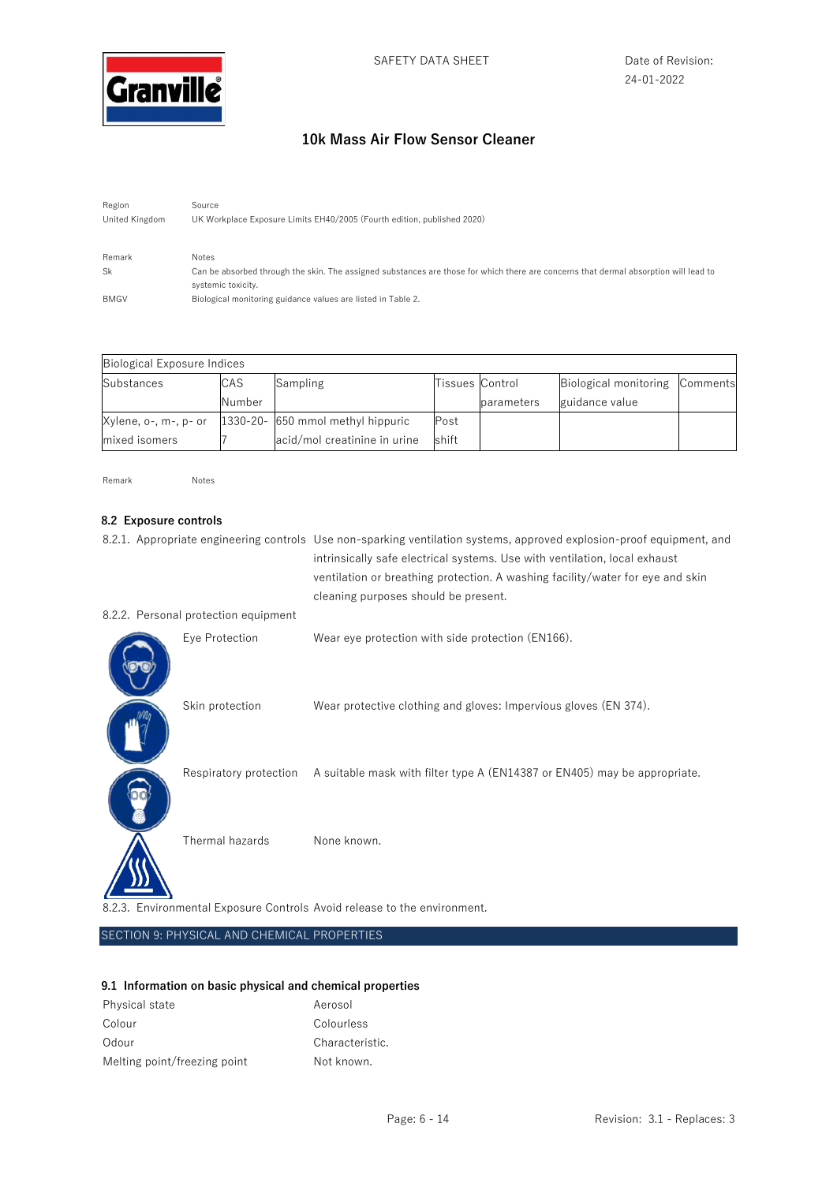

Region Source United Kingdom UK Workplace Exposure Limits EH40/2005 (Fourth edition, published 2020) Remark Notes Sk Can be absorbed through the skin. The assigned substances are those for which there are concerns that dermal absorption will lead to systemic toxicity. BMGV Biological monitoring guidance values are listed in Table 2.

| Biological Exposure Indices |            |                                   |                 |            |                                |  |
|-----------------------------|------------|-----------------------------------|-----------------|------------|--------------------------------|--|
| Substances                  | <b>CAS</b> | Sampling                          | Tissues Control |            | Biological monitoring Comments |  |
|                             | Number     |                                   |                 | parameters | guidance value                 |  |
| Xylene, o-, m-, p- or       |            | 1330-20- 650 mmol methyl hippuric | Post            |            |                                |  |
| mixed isomers               |            | acid/mol creatinine in urine      | shift           |            |                                |  |

Remark Notes

### **8.2 Exposure controls**

|                                      | 8.2.1. Appropriate engineering controls Use non-sparking ventilation systems, approved explosion-proof equipment, and<br>intrinsically safe electrical systems. Use with ventilation, local exhaust<br>ventilation or breathing protection. A washing facility/water for eye and skin<br>cleaning purposes should be present. |
|--------------------------------------|-------------------------------------------------------------------------------------------------------------------------------------------------------------------------------------------------------------------------------------------------------------------------------------------------------------------------------|
| 8.2.2. Personal protection equipment |                                                                                                                                                                                                                                                                                                                               |
| Eye Protection                       | Wear eye protection with side protection (EN166).                                                                                                                                                                                                                                                                             |
| Skin protection                      | Wear protective clothing and gloves: Impervious gloves (EN 374).                                                                                                                                                                                                                                                              |
|                                      | Respiratory protection A suitable mask with filter type A (EN14387 or EN405) may be appropriate.                                                                                                                                                                                                                              |
| Thermal hazards                      | None known.                                                                                                                                                                                                                                                                                                                   |
|                                      | 8.2.3. Environmental Exposure Controls Avoid release to the environment.                                                                                                                                                                                                                                                      |

SECTION 9: PHYSICAL AND CHEMICAL PROPERTIES

#### **9.1 Information on basic physical and chemical properties**

| Physical state               | Aerosol         |
|------------------------------|-----------------|
| Colour                       | Colourless      |
| Odour                        | Characteristic. |
| Melting point/freezing point | Not known.      |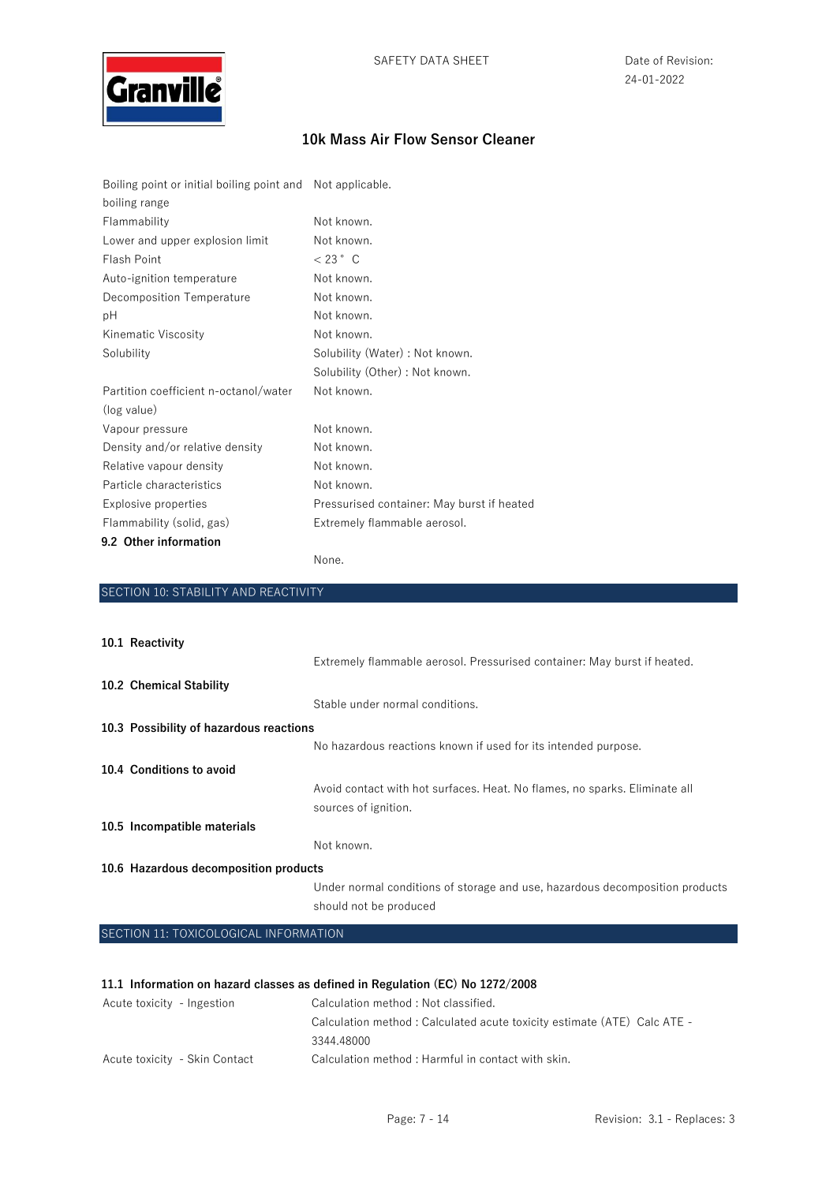

| Boiling point or initial boiling point and Not applicable. |                                            |
|------------------------------------------------------------|--------------------------------------------|
| boiling range                                              |                                            |
| Flammability                                               | Not known.                                 |
| Lower and upper explosion limit                            | Not known.                                 |
| Flash Point                                                | $< 23$ $^{\circ}$ C                        |
| Auto-ignition temperature                                  | Not known.                                 |
| Decomposition Temperature                                  | Not known.                                 |
| рH                                                         | Not known.                                 |
| Kinematic Viscosity                                        | Not known.                                 |
| Solubility                                                 | Solubility (Water) : Not known.            |
|                                                            | Solubility (Other) : Not known.            |
| Partition coefficient n-octanol/water                      | Not known.                                 |
| (log value)                                                |                                            |
| Vapour pressure                                            | Not known.                                 |
| Density and/or relative density                            | Not known.                                 |
| Relative vapour density                                    | Not known.                                 |
| Particle characteristics                                   | Not known.                                 |
| Explosive properties                                       | Pressurised container: May burst if heated |
| Flammability (solid, gas)                                  | Extremely flammable aerosol.               |
| 9.2 Other information                                      |                                            |

None.

| SECTION 10: STABILITY AND REACTIVITY    |                                                                                                    |
|-----------------------------------------|----------------------------------------------------------------------------------------------------|
|                                         |                                                                                                    |
| 10.1 Reactivity                         |                                                                                                    |
|                                         | Extremely flammable aerosol. Pressurised container: May burst if heated.                           |
| 10.2 Chemical Stability                 |                                                                                                    |
|                                         | Stable under normal conditions.                                                                    |
| 10.3 Possibility of hazardous reactions |                                                                                                    |
|                                         | No hazardous reactions known if used for its intended purpose.                                     |
| 10.4 Conditions to avoid                |                                                                                                    |
|                                         | Avoid contact with hot surfaces. Heat. No flames, no sparks. Eliminate all<br>sources of ignition. |
| 10.5 Incompatible materials             |                                                                                                    |
|                                         | Not known.                                                                                         |
| 10.6 Hazardous decomposition products   |                                                                                                    |
|                                         | Under normal conditions of storage and use, hazardous decomposition products                       |
|                                         | should not be produced                                                                             |
| SECTION 11: TOXICOLOGICAL INFORMATION   |                                                                                                    |

### **11.1 Information on hazard classes as defined in Regulation (EC) No 1272/2008**

| Acute toxicity - Ingestion    | Calculation method : Not classified.                                    |
|-------------------------------|-------------------------------------------------------------------------|
|                               | Calculation method: Calculated acute toxicity estimate (ATE) Calc ATE - |
|                               | 3344.48000                                                              |
| Acute toxicity - Skin Contact | Calculation method : Harmful in contact with skin.                      |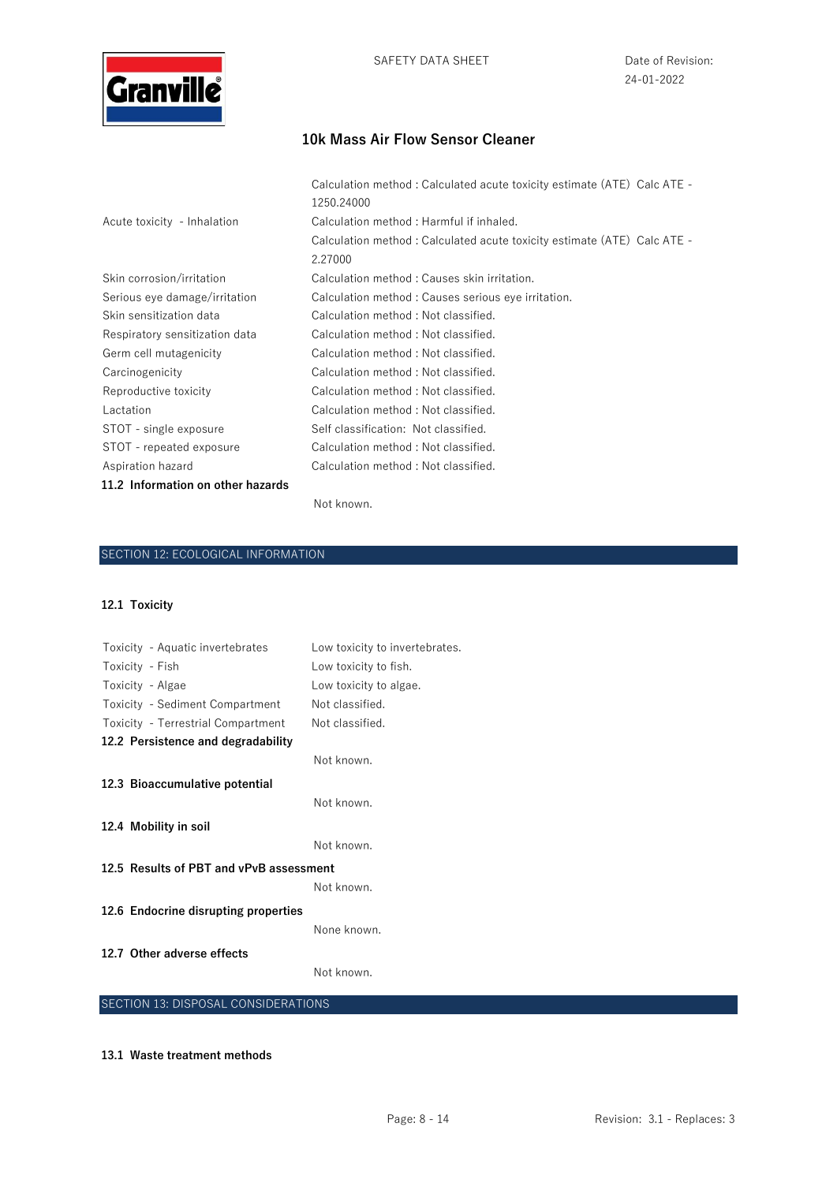

|                                   | Calculation method: Calculated acute toxicity estimate (ATE) Calc ATE -<br>1250.24000 |
|-----------------------------------|---------------------------------------------------------------------------------------|
| Acute toxicity - Inhalation       | Calculation method: Harmful if inhaled.                                               |
|                                   | Calculation method: Calculated acute toxicity estimate (ATE) Calc ATE -               |
|                                   | 2.27000                                                                               |
| Skin corrosion/irritation         | Calculation method: Causes skin irritation.                                           |
| Serious eye damage/irritation     | Calculation method: Causes serious eye irritation.                                    |
| Skin sensitization data           | Calculation method: Not classified.                                                   |
| Respiratory sensitization data    | Calculation method: Not classified.                                                   |
| Germ cell mutagenicity            | Calculation method : Not classified.                                                  |
| Carcinogenicity                   | Calculation method: Not classified.                                                   |
| Reproductive toxicity             | Calculation method: Not classified.                                                   |
| Lactation                         | Calculation method: Not classified.                                                   |
| STOT - single exposure            | Self classification: Not classified.                                                  |
| STOT - repeated exposure          | Calculation method: Not classified.                                                   |
| Aspiration hazard                 | Calculation method: Not classified.                                                   |
| 11.2 Information on other hazards |                                                                                       |

#### Not known.

## SECTION 12: ECOLOGICAL INFORMATION

### **12.1 Toxicity**

| Toxicity - Aquatic invertebrates        | Low toxicity to invertebrates. |
|-----------------------------------------|--------------------------------|
| Toxicity - Fish                         | Low toxicity to fish.          |
| Toxicity - Algae                        | Low toxicity to algae.         |
| Toxicity - Sediment Compartment         | Not classified.                |
| Toxicity - Terrestrial Compartment      | Not classified.                |
| 12.2 Persistence and degradability      |                                |
|                                         | Not known.                     |
| 12.3 Bioaccumulative potential          |                                |
|                                         | Not known.                     |
| 12.4 Mobility in soil                   |                                |
|                                         | Not known.                     |
| 12.5 Results of PBT and vPvB assessment |                                |
|                                         | Not known.                     |
| 12.6 Endocrine disrupting properties    |                                |
|                                         | None known.                    |
| 12.7 Other adverse effects              |                                |
|                                         | Not known.                     |
|                                         |                                |

### SECTION 13: DISPOSAL CONSIDERATIONS

#### **13.1 Waste treatment methods**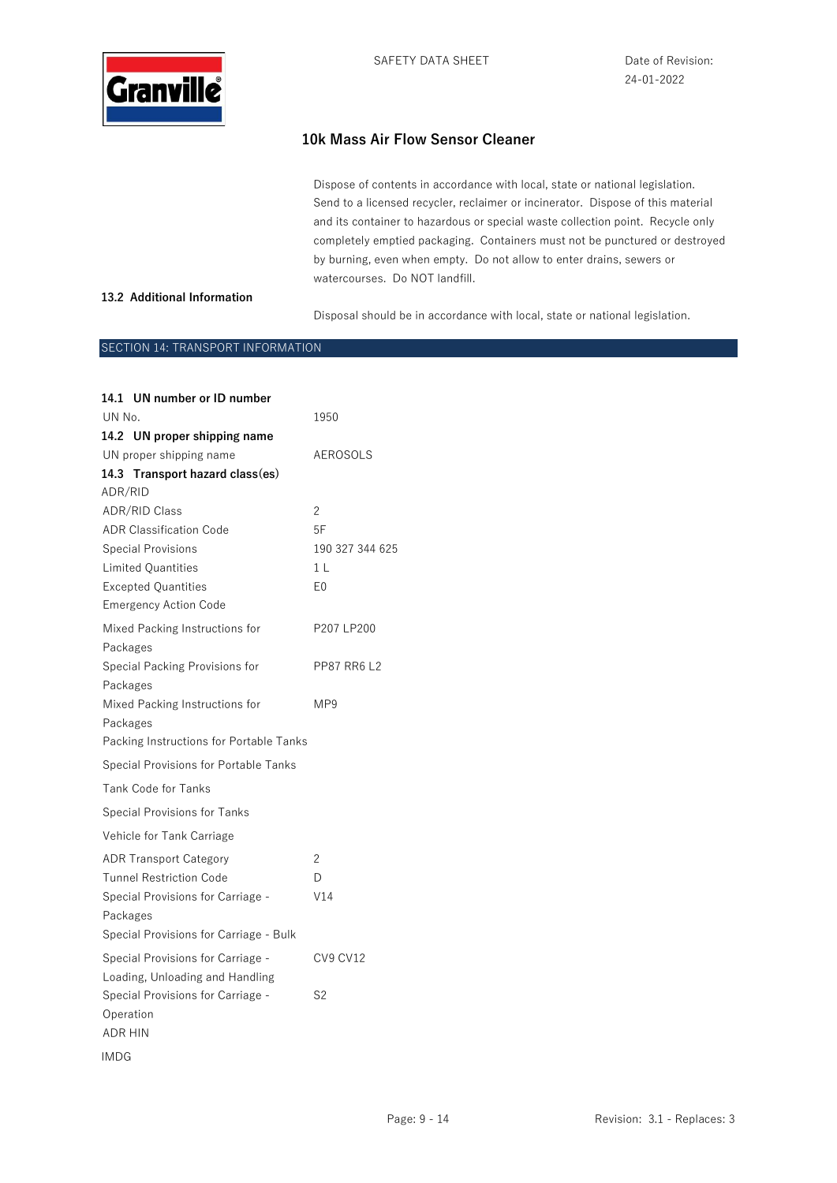

Dispose of contents in accordance with local, state or national legislation. Send to a licensed recycler, reclaimer or incinerator. Dispose of this material and its container to hazardous or special waste collection point. Recycle only completely emptied packaging. Containers must not be punctured or destroyed by burning, even when empty. Do not allow to enter drains, sewers or watercourses. Do NOT landfill.

### **13.2 Additional Information**

Disposal should be in accordance with local, state or national legislation.

### SECTION 14: TRANSPORT INFORMATION

| 14.1 UN number or ID number             |                    |
|-----------------------------------------|--------------------|
| UN No.                                  | 1950               |
| 14.2 UN proper shipping name            |                    |
| UN proper shipping name                 | AEROSOLS           |
| 14.3 Transport hazard class(es)         |                    |
| ADR/RID                                 |                    |
| <b>ADR/RID Class</b>                    | 2                  |
| <b>ADR Classification Code</b>          | 5F                 |
| <b>Special Provisions</b>               | 190 327 344 625    |
| <b>Limited Quantities</b>               | 1 <sub>L</sub>     |
| <b>Excepted Quantities</b>              | E <sub>0</sub>     |
| <b>Emergency Action Code</b>            |                    |
| Mixed Packing Instructions for          | P207 LP200         |
| Packages                                |                    |
| Special Packing Provisions for          | <b>PP87 RR6 L2</b> |
| Packages                                |                    |
| Mixed Packing Instructions for          | MP9                |
| Packages                                |                    |
| Packing Instructions for Portable Tanks |                    |
| Special Provisions for Portable Tanks   |                    |
| <b>Tank Code for Tanks</b>              |                    |
| <b>Special Provisions for Tanks</b>     |                    |
| Vehicle for Tank Carriage               |                    |
| <b>ADR Transport Category</b>           | 2                  |
| <b>Tunnel Restriction Code</b>          | D                  |
| Special Provisions for Carriage -       | V14                |
| Packages                                |                    |
| Special Provisions for Carriage - Bulk  |                    |
| Special Provisions for Carriage -       | <b>CV9 CV12</b>    |
| Loading, Unloading and Handling         |                    |
| Special Provisions for Carriage -       | S2                 |
| Operation                               |                    |
| <b>ADR HIN</b>                          |                    |
| IMDG                                    |                    |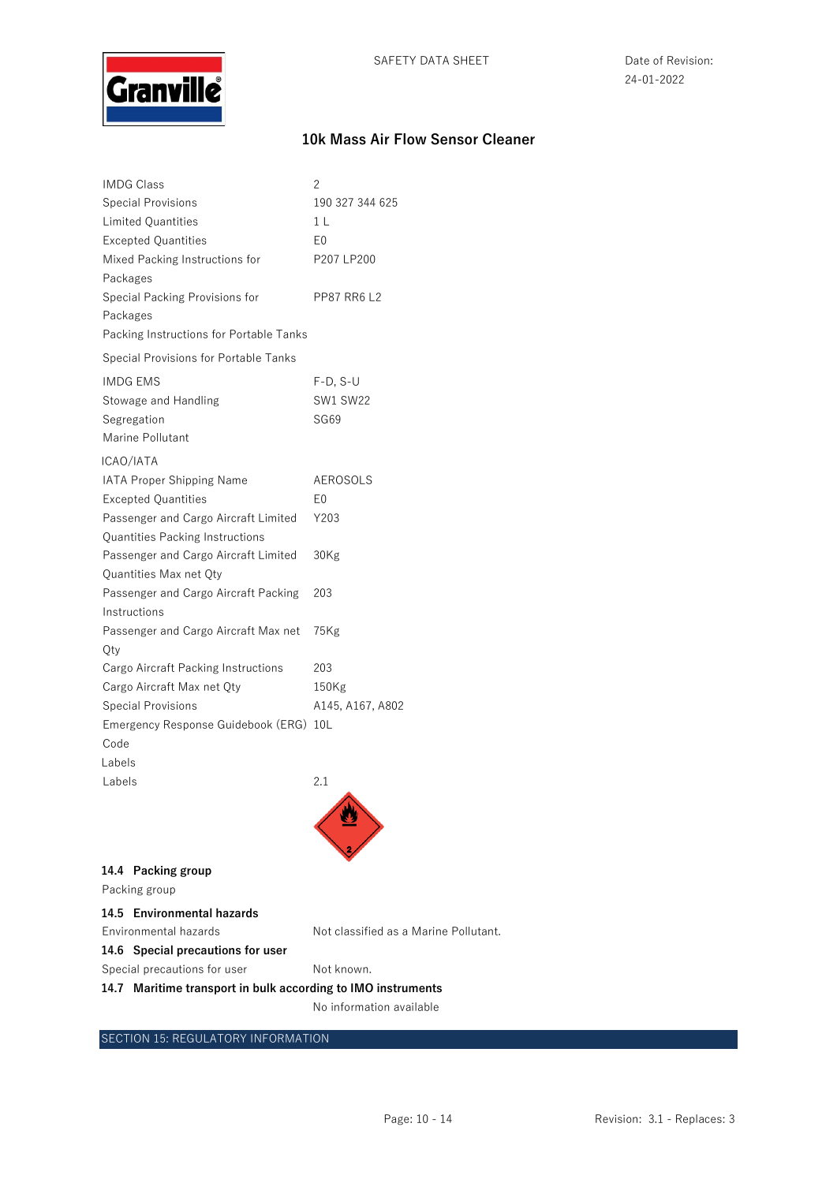

| IMDG Class                                           | 2                  |
|------------------------------------------------------|--------------------|
| <b>Special Provisions</b>                            | 190 327 344 625    |
| <b>Limited Quantities</b>                            | 1 <sub>L</sub>     |
| <b>Excepted Quantities</b>                           | E0                 |
| Mixed Packing Instructions for                       | P207 LP200         |
| Packages                                             |                    |
| Special Packing Provisions for                       | <b>PP87 RR6 L2</b> |
| Packages                                             |                    |
| Packing Instructions for Portable Tanks              |                    |
| Special Provisions for Portable Tanks                |                    |
| <b>IMDG EMS</b>                                      | $F-D, S-U$         |
| Stowage and Handling                                 | <b>SW1 SW22</b>    |
| Segregation                                          | SG69               |
| Marine Pollutant                                     |                    |
| ICAO/IATA                                            |                    |
| <b>IATA Proper Shipping Name</b>                     | AEROSOLS           |
| <b>Excepted Quantities</b>                           | E0                 |
| Passenger and Cargo Aircraft Limited                 | Y203               |
| Quantities Packing Instructions                      |                    |
| Passenger and Cargo Aircraft Limited                 | 30Kg               |
| Quantities Max net Qty                               |                    |
| Passenger and Cargo Aircraft Packing<br>Instructions | 203                |
| Passenger and Cargo Aircraft Max net                 | 75Kg               |
| Oty                                                  |                    |
| Cargo Aircraft Packing Instructions                  | 203                |
| Cargo Aircraft Max net Qty                           | 150Kg              |
| <b>Special Provisions</b>                            | A145, A167, A802   |
| Emergency Response Guidebook (ERG)                   | 10L                |
| Code                                                 |                    |
| Labels                                               |                    |
| Labels                                               | 2.1                |
|                                                      |                    |
|                                                      |                    |
|                                                      |                    |

| 14.4 Packing group |
|--------------------|
|                    |

Packing group

| 14.5 Environmental hazards |                                       |
|----------------------------|---------------------------------------|
| Environmental hazards      | Not classified as a Marine Pollutant. |
|                            |                                       |

**14.6 Special precautions for user** 

Special precautions for user Not known.

**14.7 Maritime transport in bulk according to IMO instruments** 

No information available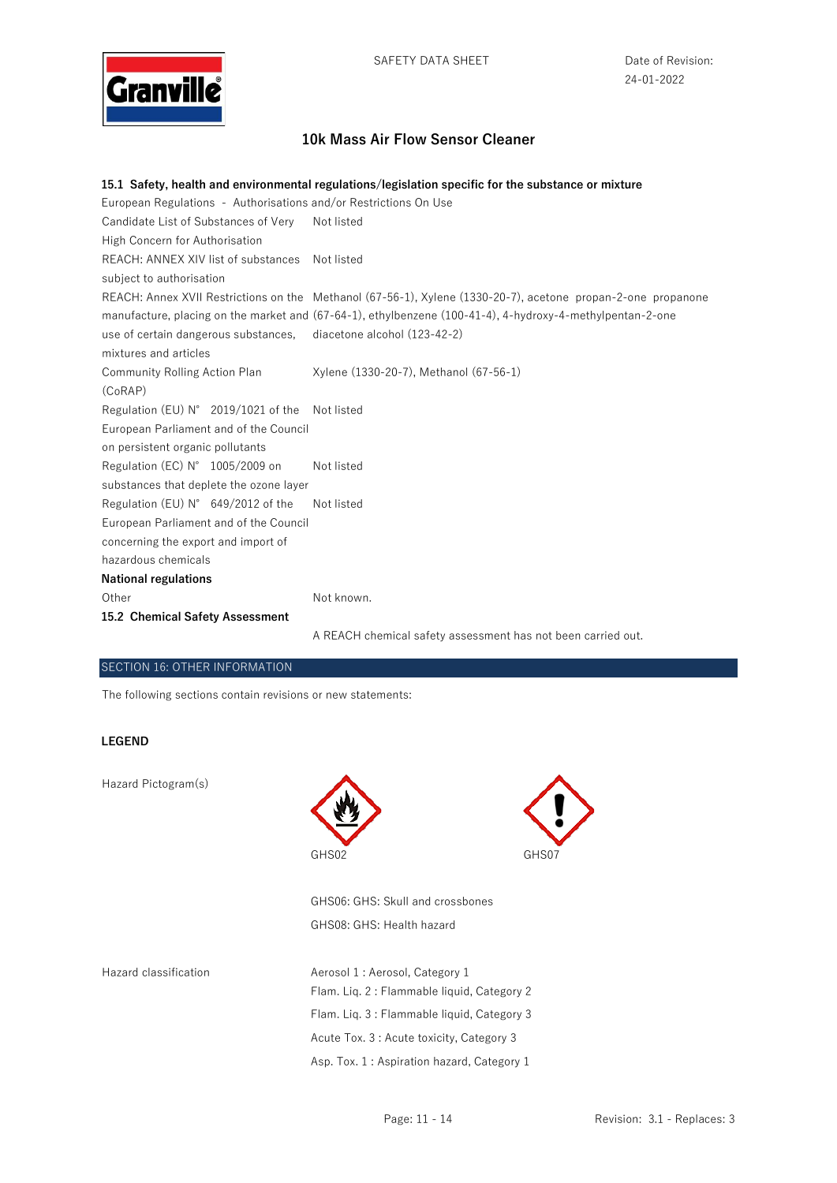

#### **15.1 Safety, health and environmental regulations/legislation specific for the substance or mixture**

| European Regulations - Authorisations and/or Restrictions On Use |                                                                                                              |
|------------------------------------------------------------------|--------------------------------------------------------------------------------------------------------------|
| Candidate List of Substances of Very                             | Not listed                                                                                                   |
| High Concern for Authorisation                                   |                                                                                                              |
| REACH: ANNEX XIV list of substances Not listed                   |                                                                                                              |
| subject to authorisation                                         |                                                                                                              |
|                                                                  | REACH: Annex XVII Restrictions on the Methanol (67-56-1), Xylene (1330-20-7), acetone propan-2-one propanone |
|                                                                  | manufacture, placing on the market and (67-64-1), ethylbenzene (100-41-4), 4-hydroxy-4-methylpentan-2-one    |
| use of certain dangerous substances,                             | diacetone alcohol (123-42-2)                                                                                 |
| mixtures and articles                                            |                                                                                                              |
| Community Rolling Action Plan                                    | Xylene (1330-20-7), Methanol (67-56-1)                                                                       |
| (CoRAP)                                                          |                                                                                                              |
| Regulation (EU) $N^{\circ}$ 2019/1021 of the Not listed          |                                                                                                              |
| European Parliament and of the Council                           |                                                                                                              |
| on persistent organic pollutants                                 |                                                                                                              |
| Regulation (EC) $N^{\circ}$ 1005/2009 on                         | Not listed                                                                                                   |
| substances that deplete the ozone layer                          |                                                                                                              |
| Regulation (EU) $N^{\circ}$ 649/2012 of the                      | Not listed                                                                                                   |
| European Parliament and of the Council                           |                                                                                                              |
| concerning the export and import of                              |                                                                                                              |
| hazardous chemicals                                              |                                                                                                              |
| <b>National regulations</b>                                      |                                                                                                              |
| Other                                                            | Not known.                                                                                                   |
| 15.2 Chemical Safety Assessment                                  |                                                                                                              |
|                                                                  | A REACH chemical safety assessment has not been carried out.                                                 |

### SECTION 16: OTHER INFORMATION

The following sections contain revisions or new statements:

#### **LEGEND**

Hazard Pictogram(s)





GHS06: GHS: Skull and crossbones GHS08: GHS: Health hazard

Hazard classification **Aerosol 1** : Aerosol, Category 1 Flam. Liq. 2 : Flammable liquid, Category 2 Flam. Liq. 3 : Flammable liquid, Category 3 Acute Tox. 3 : Acute toxicity, Category 3 Asp. Tox. 1 : Aspiration hazard, Category 1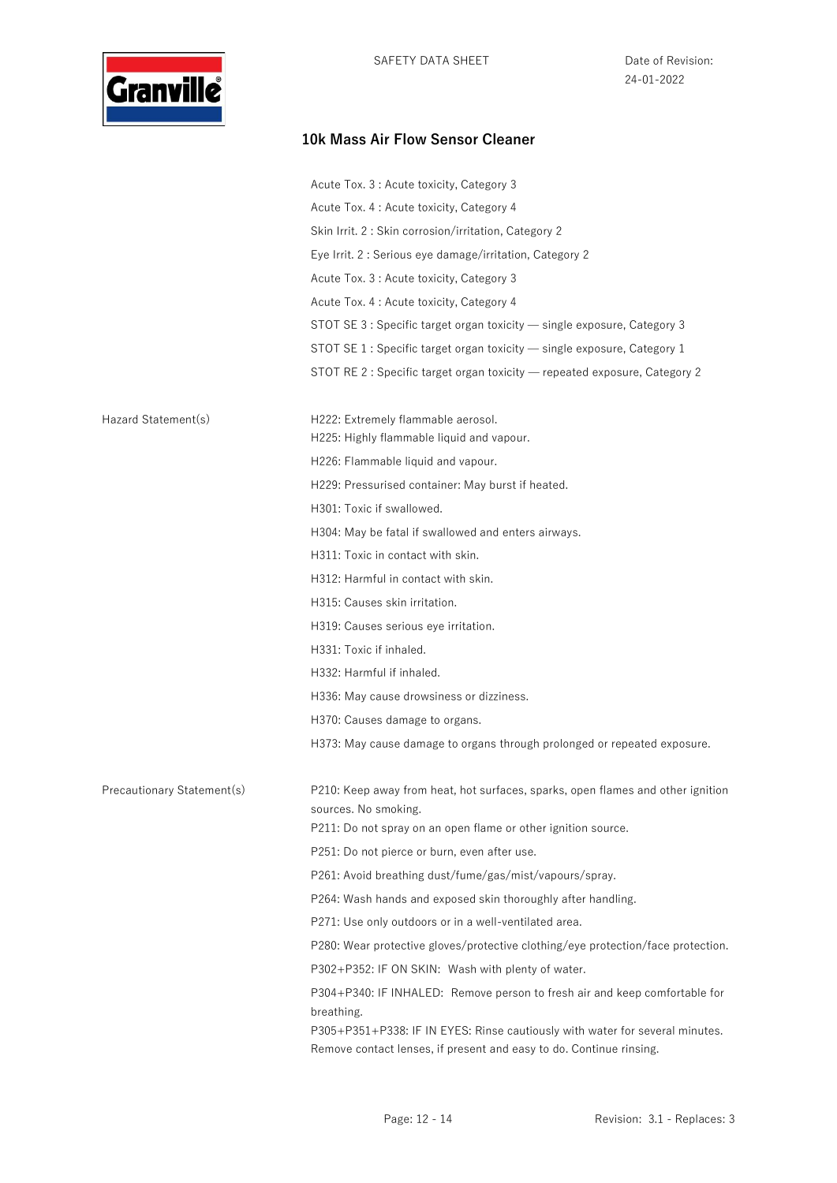

|                            | Acute Tox. 3 : Acute toxicity, Category 3                                                                                                                         |
|----------------------------|-------------------------------------------------------------------------------------------------------------------------------------------------------------------|
|                            | Acute Tox. 4 : Acute toxicity, Category 4                                                                                                                         |
|                            | Skin Irrit. 2: Skin corrosion/irritation, Category 2                                                                                                              |
|                            | Eye Irrit. 2: Serious eye damage/irritation, Category 2                                                                                                           |
|                            | Acute Tox. 3 : Acute toxicity, Category 3                                                                                                                         |
|                            | Acute Tox. 4 : Acute toxicity, Category 4                                                                                                                         |
|                            | STOT SE 3 : Specific target organ toxicity — single exposure, Category 3                                                                                          |
|                            | STOT SE 1 : Specific target organ toxicity - single exposure, Category 1                                                                                          |
|                            | STOT RE 2 : Specific target organ toxicity - repeated exposure, Category 2                                                                                        |
|                            |                                                                                                                                                                   |
| Hazard Statement(s)        | H222: Extremely flammable aerosol.<br>H225: Highly flammable liquid and vapour.                                                                                   |
|                            | H226: Flammable liquid and vapour.                                                                                                                                |
|                            | H229: Pressurised container: May burst if heated.                                                                                                                 |
|                            | H301: Toxic if swallowed.                                                                                                                                         |
|                            | H304: May be fatal if swallowed and enters airways.                                                                                                               |
|                            | H311: Toxic in contact with skin.                                                                                                                                 |
|                            | H312: Harmful in contact with skin.                                                                                                                               |
|                            | H315: Causes skin irritation.                                                                                                                                     |
|                            | H319: Causes serious eye irritation.                                                                                                                              |
|                            | H331: Toxic if inhaled.                                                                                                                                           |
|                            | H332: Harmful if inhaled.                                                                                                                                         |
|                            | H336: May cause drowsiness or dizziness.                                                                                                                          |
|                            | H370: Causes damage to organs.                                                                                                                                    |
|                            | H373: May cause damage to organs through prolonged or repeated exposure.                                                                                          |
| Precautionary Statement(s) | P210: Keep away from heat, hot surfaces, sparks, open flames and other ignition                                                                                   |
|                            | sources. No smoking.                                                                                                                                              |
|                            | P211: Do not spray on an open flame or other ignition source.                                                                                                     |
|                            | P251: Do not pierce or burn, even after use.                                                                                                                      |
|                            | P261: Avoid breathing dust/fume/gas/mist/vapours/spray.                                                                                                           |
|                            | P264: Wash hands and exposed skin thoroughly after handling.                                                                                                      |
|                            | P271: Use only outdoors or in a well-ventilated area.                                                                                                             |
|                            | P280: Wear protective gloves/protective clothing/eye protection/face protection.                                                                                  |
|                            | P302+P352: IF ON SKIN: Wash with plenty of water.                                                                                                                 |
|                            | P304+P340: IF INHALED: Remove person to fresh air and keep comfortable for                                                                                        |
|                            | breathing.<br>P305+P351+P338: IF IN EYES: Rinse cautiously with water for several minutes.<br>Remove contact lenses, if present and easy to do. Continue rinsing. |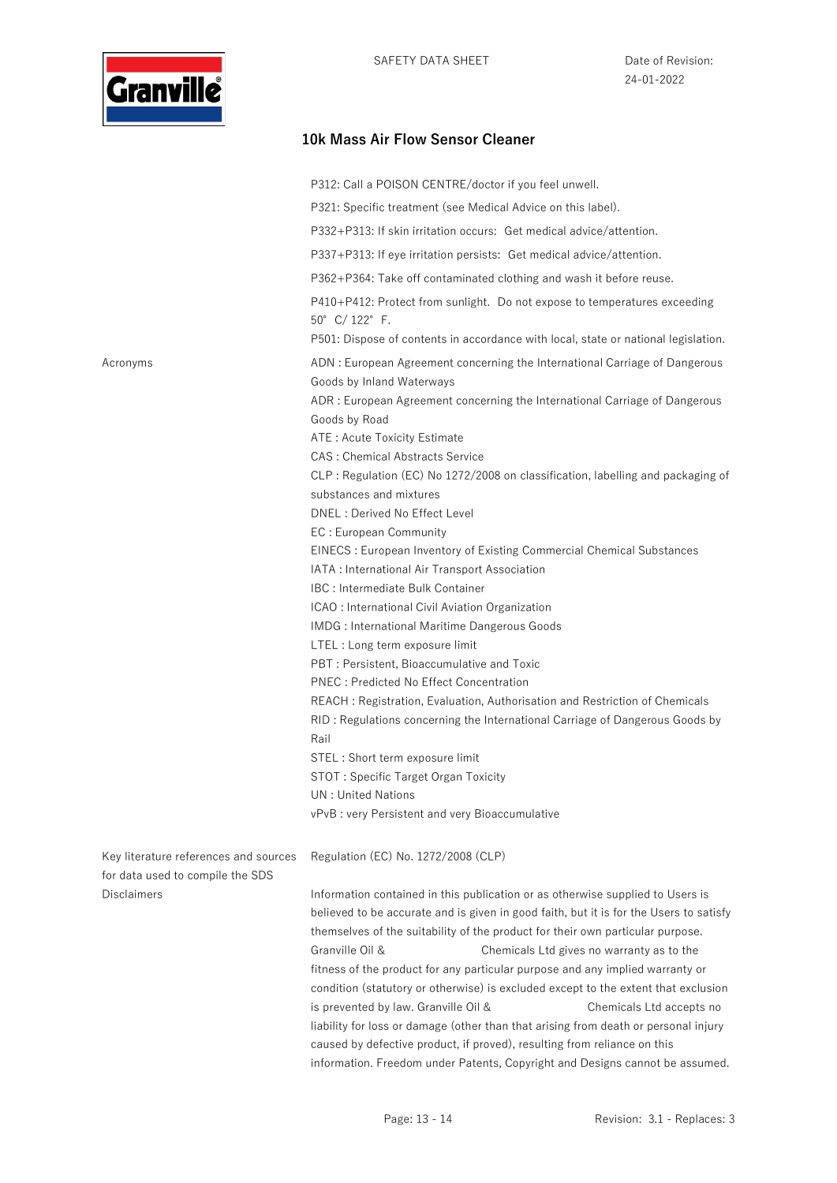

|                                                                           | P312: Call a POISON CENTRE/doctor if you feel unwell.                                                                                                                    |
|---------------------------------------------------------------------------|--------------------------------------------------------------------------------------------------------------------------------------------------------------------------|
|                                                                           | P321: Specific treatment (see Medical Advice on this label).                                                                                                             |
|                                                                           | P332+P313: If skin irritation occurs: Get medical advice/attention.                                                                                                      |
|                                                                           | P337+P313: If eye irritation persists: Get medical advice/attention.                                                                                                     |
|                                                                           | P362+P364: Take off contaminated clothing and wash it before reuse.                                                                                                      |
|                                                                           | P410+P412: Protect from sunlight. Do not expose to temperatures exceeding<br>50° C/122° F.                                                                               |
|                                                                           | P501: Dispose of contents in accordance with local, state or national legislation.                                                                                       |
| Acronyms                                                                  | ADN: European Agreement concerning the International Carriage of Dangerous<br>Goods by Inland Waterways                                                                  |
|                                                                           | ADR: European Agreement concerning the International Carriage of Dangerous<br>Goods by Road                                                                              |
|                                                                           | ATE: Acute Toxicity Estimate<br><b>CAS: Chemical Abstracts Service</b>                                                                                                   |
|                                                                           | CLP: Regulation (EC) No 1272/2008 on classification, labelling and packaging of                                                                                          |
|                                                                           | substances and mixtures                                                                                                                                                  |
|                                                                           | DNEL : Derived No Effect Level                                                                                                                                           |
|                                                                           | EC: European Community                                                                                                                                                   |
|                                                                           | EINECS: European Inventory of Existing Commercial Chemical Substances                                                                                                    |
|                                                                           | IATA : International Air Transport Association                                                                                                                           |
|                                                                           | IBC : Intermediate Bulk Container                                                                                                                                        |
|                                                                           | ICAO : International Civil Aviation Organization                                                                                                                         |
|                                                                           | <b>IMDG</b> : International Maritime Dangerous Goods                                                                                                                     |
|                                                                           | LTEL : Long term exposure limit<br>PBT: Persistent, Bioaccumulative and Toxic                                                                                            |
|                                                                           | PNEC : Predicted No Effect Concentration                                                                                                                                 |
|                                                                           | REACH : Registration, Evaluation, Authorisation and Restriction of Chemicals                                                                                             |
|                                                                           | RID: Regulations concerning the International Carriage of Dangerous Goods by                                                                                             |
|                                                                           | Rail                                                                                                                                                                     |
|                                                                           | STEL : Short term exposure limit<br>STOT: Specific Target Organ Toxicity                                                                                                 |
|                                                                           | <b>UN: United Nations</b>                                                                                                                                                |
|                                                                           | vPvB : very Persistent and very Bioaccumulative                                                                                                                          |
|                                                                           |                                                                                                                                                                          |
| Key literature references and sources<br>for data used to compile the SDS | Regulation (EC) No. 1272/2008 (CLP)                                                                                                                                      |
| Disclaimers                                                               | Information contained in this publication or as otherwise supplied to Users is<br>believed to be accurate and is given in good faith, but it is for the Users to satisfy |
|                                                                           | themselves of the suitability of the product for their own particular purpose.                                                                                           |
|                                                                           | Granville Oil &<br>Chemicals Ltd gives no warranty as to the                                                                                                             |
|                                                                           | fitness of the product for any particular purpose and any implied warranty or<br>condition (statutory or otherwise) is excluded except to the extent that exclusion      |
|                                                                           | is prevented by law. Granville Oil &<br>Chemicals Ltd accepts no                                                                                                         |
|                                                                           | liability for loss or damage (other than that arising from death or personal injury<br>caused by defective product, if proved), resulting from reliance on this          |
|                                                                           | information. Freedom under Patents, Copyright and Designs cannot be assumed.                                                                                             |